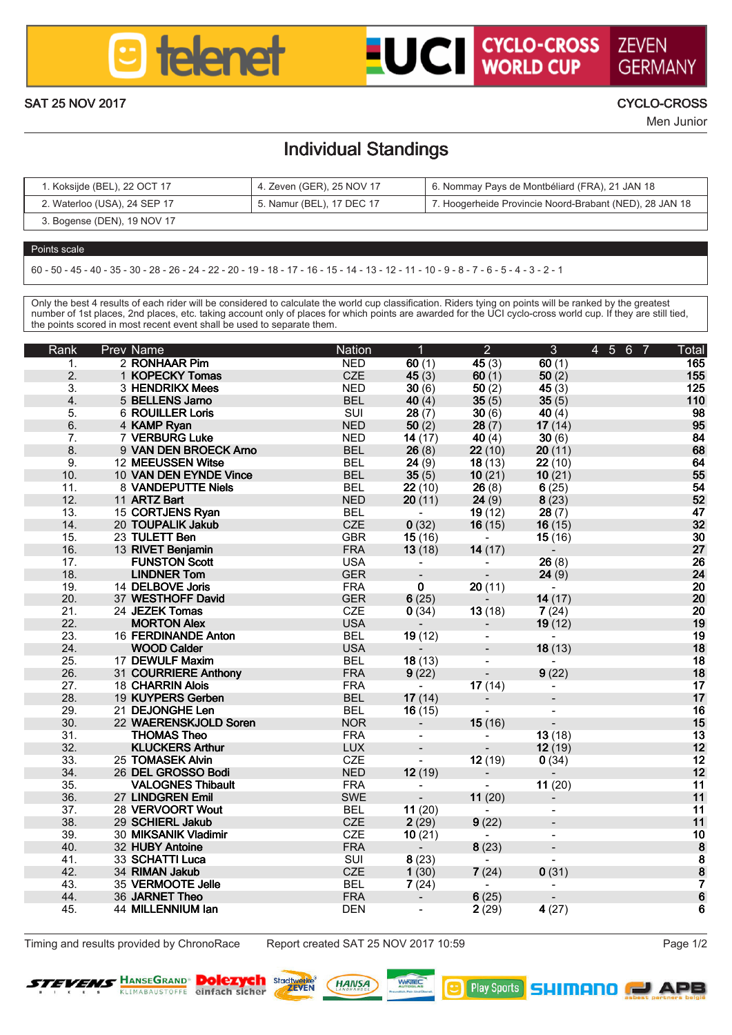

# **LUCI CYCLO-CROSS ZEVEN**

GERMAN SAT 25 NOV 2017 CYCLO-CROSS

Men Junior

### Individual Standings

| Kokside (BEL), 22 OCT 17     | 4. Zeven (GER), 25 NOV 17 | 6. Nommay Pays de Montbéliard (FRA), 21 JAN 18          |
|------------------------------|---------------------------|---------------------------------------------------------|
| 2. Waterloo (USA), 24 SEP 17 | 5. Namur (BEL), 17 DEC 17 | 7. Hooperheide Provincie Noord-Brabant (NED), 28 JAN 18 |
| 3. Bogense (DEN), 19 NOV 17  |                           |                                                         |

#### Points scale

60 - 50 - 45 - 40 - 35 - 30 - 28 - 26 - 24 - 22 - 20 - 19 - 18 - 17 - 16 - 15 - 14 - 13 - 12 - 11 - 10 - 9 - 8 - 7 - 6 - 5 - 4 - 3 - 2 - 1

Only the best 4 results of each rider will be considered to calculate the world cup classification. Riders tying on points will be ranked by the greatest<br>number of 1st places, 2nd places, etc. taking account only of places the points scored in most recent event shall be used to separate them.

| Rank             | Prev Name                               | Nation                   | Ŧ                        | $\overline{2}$   | $\overline{\mathbf{a}}$ | 4 5 6 7 | Total              |
|------------------|-----------------------------------------|--------------------------|--------------------------|------------------|-------------------------|---------|--------------------|
| л.               | 2 ROMHAAR Pim                           | <b>NFD</b>               | 60(1)                    | 45(3)            | 60 (1)                  |         | 165                |
| $\overline{2}$   | 1 KOPECKY Tomas                         | CZE                      | 45(3)                    | 60 (1)           | 60 (2)                  |         | 155                |
| 3.               | 3 HENDRIKX Mees                         | <b>NED</b>               | 30 (6)                   | 50 (2)           | 45 (3)                  |         | 125                |
| $\ddot{a}$       | 5 BELLENS Jamo                          | <b>BEL</b>               | 40 (4)                   | 35(5)            | 35(5)                   |         | 110                |
| 5.               | 6 ROUILLER Lods                         | SUI                      | 28(7)                    | 30(6)            | 40 (4)                  |         | 98                 |
| Ä.               | 4 KAMP Ryan                             | <b>NED</b>               | 50(2)                    | 28(7)            | 17(14)                  |         | 95                 |
| 7.               | 7 VERBURG Luke                          | <b>NED</b>               | 14 (17)                  | 40(4)            | 30 (6)                  |         | 84                 |
| 8.               | 9 VAN DEN BROECK Amo                    | <b>BEL</b>               | 26(8)                    | 22(10)           | 20(11)                  |         | 68                 |
| $\overline{a}$   | 12 MEEUSSEN Witse                       | <b>BEL</b>               | 24(9)                    | 18 (13)          | 22 (10)                 |         | 64                 |
| 10 <sup>1</sup>  | 10 VAN DEN EVNDE VIssa                  | <b>RFL</b>               | 35(5)                    | 10(21)           | 10(21)                  |         | 55                 |
| 11.              | 8 VANDEPUTTE Niels                      | <b>BEL</b>               | 22 (10)                  | 26(8)            | 6(25)                   |         | 54                 |
| 12 <sup>12</sup> | 11 ARTZ Rort                            | NFD.                     | 20(11)                   | 24(9)            | 8(23)                   |         | 52                 |
| $13-12$          | 15 CORTJENS Ryan                        | <b>RFL</b>               | $\sim$                   | 19(12)           | 28(7)                   |         | 47                 |
| 14.              | 20 TOUPALIK Jolaib                      | CZE                      | 0(32)                    | 16(15)           | 16(15)                  |         | 32                 |
| 15.              | 23 TULETT Ben                           | GBR                      | 15(16)                   | $\sim$           | 15(16)                  |         | 30                 |
| 16               | 13 RIVET Benjamin                       | <b>FRA</b>               | 13(18)                   | 14 (17)          | $\sim$                  |         | 27                 |
| 17               | <b>FUNSTON Scott</b>                    | <b>USA</b>               | . .                      | ÷                | 26 (8)                  |         | 26                 |
| 18               | <b>LINDNER Tom</b>                      | <b>GER</b>               | $\overline{\phantom{a}}$ | ÷                | 24(9)                   |         | 24                 |
| 19.              | 14 DELBOVE Joris                        | <b>FRA</b>               | $\bullet$                | 20(11)           | $\sim$                  |         | 20                 |
| 20 <sub>1</sub>  | 37 WESTHOFF David                       | <b>GER</b>               | 6(25)                    | - 20             | 14 (17)                 |         | 20                 |
| 21               | 24 JF7FK Tomas                          | CZE                      | 0(34)                    | 13(18)           | 7(24)                   |         | 20                 |
| 22.              | <b>MORTON ANK</b>                       | <b>USA</b>               | $\sim$                   | $\sim$           | 19 (12)                 |         | 19                 |
| 23.<br>24        | 16 FERDINANDE Anton                     | <b>BEL</b>               | 19 (12)                  |                  | $\sim$                  |         | 19                 |
|                  | WOOD Cabler                             | 115.4                    | $\sim$                   | $\sim$           | 18 (13)                 |         | 18                 |
| 25.<br>26.       | 17 DEWULF Maxim<br>31 COURRIERE Anthony | <b>BEL</b>               | 18 (13)                  | ÷.<br>n.         |                         |         | 18<br>18           |
| 27               | 18 CHARRIN AINS                         | <b>FRA</b><br><b>FRA</b> | 9(22)                    |                  | 9(22)                   |         |                    |
| 28               | 19 KUYPERS Gerben                       | <b>BEL</b>               | $\sim$<br>17(14)         | 17(14)           |                         |         | 17<br>17           |
| 29.              | 21 DEJONGHE Len                         | <b>BEL</b>               | 16(15)                   | $\sim$<br>$\sim$ | ×.                      |         | 16                 |
| 30 <sub>1</sub>  | 22 WAFRENSKA'N D Soren                  | <b>NOR</b>               |                          |                  | $\sim$                  |         | 15                 |
| 31.              | <b>THOMAS Theo</b>                      | <b>FRA</b>               | $\sim$<br>÷              | 15(16)           | 13 (18)                 |         | 13                 |
| 32.              | KI LICKERS Adhur                        | <b>LUX</b>               | $\sim$                   | $\sim$           | 12 (19)                 |         | 12                 |
| 33               | 25 TOMASEK AMB                          | CZE                      | a.                       | 12 (19)          | 0(34)                   |         | 12                 |
| 34.              | 26 DEL GROSSO Bodi                      | <b>NED</b>               | 12(19)                   | $\sim$           | $\sim$                  |         | 12                 |
| 35.              | <b>VALOGNES Thibault</b>                | <b>FRA</b>               |                          |                  | 11 (20)                 |         | 11                 |
| 36.              | 27 LINDGREN Emil                        | SWE                      | $\sim$                   | 11 (20)          | ×.                      |         | 11                 |
| 37.              | 28 VERVOORT Wout                        | <b>BEL</b>               | 11 (20)                  | $\sim$           | ×.                      |         | 11                 |
| 38 <sub>1</sub>  | 29 SCHIFRI John                         | CZE                      | 2(29)                    | 9(22)            |                         |         | $\overline{11}$    |
| $30 -$           | 30 MICRANIK Viadimir                    | CZE                      | 10(21)                   |                  | ÷.                      |         | 10                 |
| 40 <sub>1</sub>  | 32 HUBY Antoine                         | <b>FRA</b>               | ÷                        | 8(23)            |                         |         |                    |
| 41               | 33 SCHATTLING                           | SUI                      | 8(23)                    | $\sim$           | ×.                      |         |                    |
| 42.              | 34 RUMAN Jolash                         | CZE                      | 1(30)                    | 7(24)            | O(31)                   |         | <b>8</b><br>8<br>7 |
| 43               | 35 VERMOOTE Jelle                       | <b>RFL</b>               | 7(24)                    | ×.               | ÷.                      |         |                    |
| 44               | 36 JARNET Theo                          | <b>FRA</b>               | a.                       | 6(25)            | $\sim$                  |         | ė                  |
| 45.              | 44 MILLENNIUM Ian                       | DEN                      | ×.                       | 2(29)            | 4 (27)                  |         | ē                  |
|                  |                                         |                          |                          |                  |                         |         |                    |

Timing and results provided by ChronoRace Report created SAT 25 NOV 2017 10:59 Page 1/2



**Dolezych Departs (HANSA)**